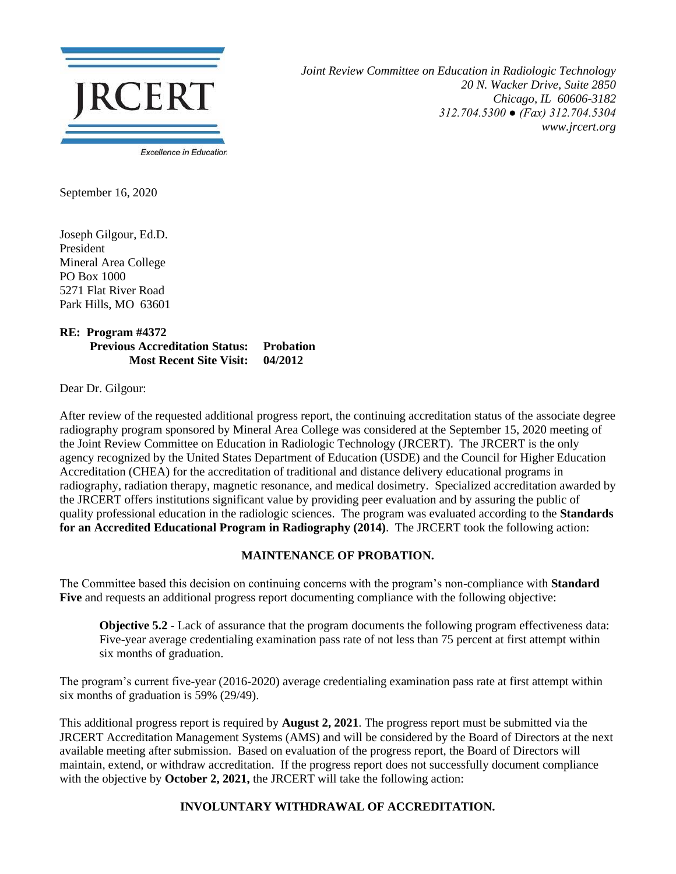

*Joint Review Committee on Education in Radiologic Technology 20 N. Wacker Drive, Suite 2850 Chicago, IL 60606-3182 312.704.5300 ● (Fax) 312.704.5304 www.jrcert.org*

September 16, 2020

Joseph Gilgour, Ed.D. President Mineral Area College PO Box 1000 5271 Flat River Road Park Hills, MO 63601

**RE: Program #4372 Previous Accreditation Status: Probation Most Recent Site Visit: 04/2012**

Dear Dr. Gilgour:

After review of the requested additional progress report, the continuing accreditation status of the associate degree radiography program sponsored by Mineral Area College was considered at the September 15, 2020 meeting of the Joint Review Committee on Education in Radiologic Technology (JRCERT). The JRCERT is the only agency recognized by the United States Department of Education (USDE) and the Council for Higher Education Accreditation (CHEA) for the accreditation of traditional and distance delivery educational programs in radiography, radiation therapy, magnetic resonance, and medical dosimetry. Specialized accreditation awarded by the JRCERT offers institutions significant value by providing peer evaluation and by assuring the public of quality professional education in the radiologic sciences. The program was evaluated according to the **Standards for an Accredited Educational Program in Radiography (2014)**. The JRCERT took the following action:

## **MAINTENANCE OF PROBATION.**

The Committee based this decision on continuing concerns with the program's non-compliance with **Standard Five** and requests an additional progress report documenting compliance with the following objective:

**Objective 5.2** - Lack of assurance that the program documents the following program effectiveness data: Five-year average credentialing examination pass rate of not less than 75 percent at first attempt within six months of graduation.

The program's current five-year (2016-2020) average credentialing examination pass rate at first attempt within six months of graduation is 59% (29/49).

This additional progress report is required by **August 2, 2021**. The progress report must be submitted via the JRCERT Accreditation Management Systems (AMS) and will be considered by the Board of Directors at the next available meeting after submission. Based on evaluation of the progress report, the Board of Directors will maintain, extend, or withdraw accreditation. If the progress report does not successfully document compliance with the objective by **October 2, 2021**, the JRCERT will take the following action:

## **INVOLUNTARY WITHDRAWAL OF ACCREDITATION.**